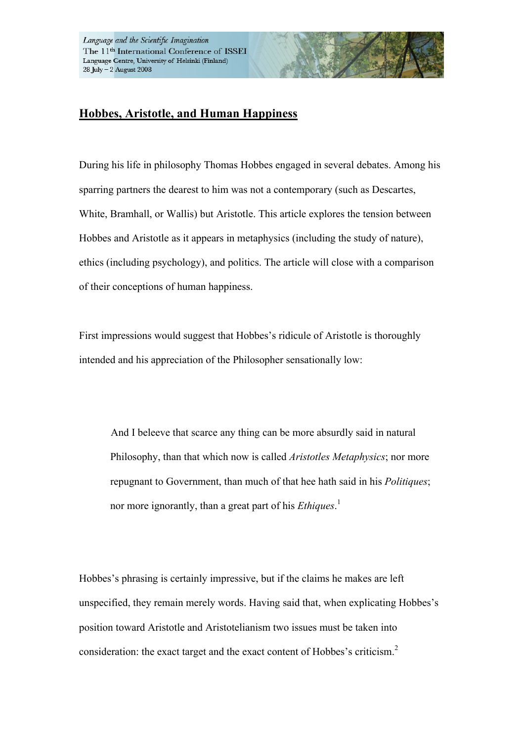## **Hobbes, Aristotle, and Human Happiness**

During his life in philosophy Thomas Hobbes engaged in several debates. Among his sparring partners the dearest to him was not a contemporary (such as Descartes, White, Bramhall, or Wallis) but Aristotle. This article explores the tension between Hobbes and Aristotle as it appears in metaphysics (including the study of nature), ethics (including psychology), and politics. The article will close with a comparison of their conceptions of human happiness.

First impressions would suggest that Hobbes's ridicule of Aristotle is thoroughly intended and his appreciation of the Philosopher sensationally low:

And I beleeve that scarce any thing can be more absurdly said in natural Philosophy, than that which now is called *Aristotles Metaphysics*; nor more repugnant to Government, than much of that hee hath said in his *Politiques*; nor more ignorantly, than a great part of his *Ethiques*. 1

Hobbes's phrasing is certainly impressive, but if the claims he makes are left unspecified, they remain merely words. Having said that, when explicating Hobbes's position toward Aristotle and Aristotelianism two issues must be taken into consideration: the exact target and the exact content of Hobbes's criticism.<sup>2</sup>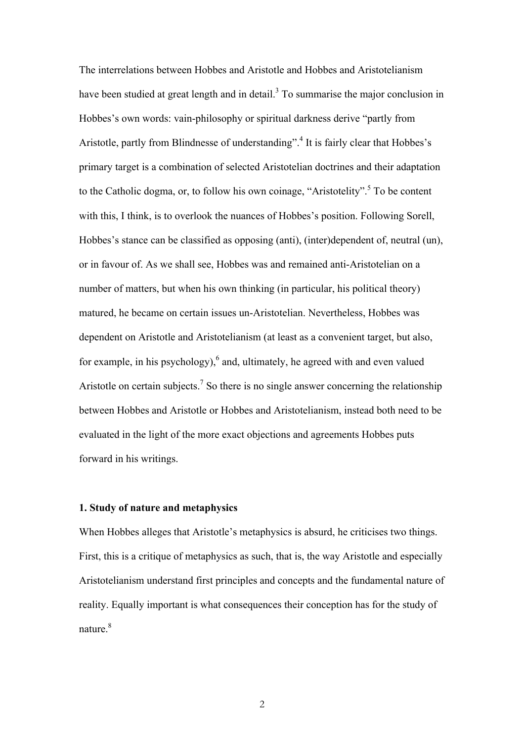The interrelations between Hobbes and Aristotle and Hobbes and Aristotelianism have been studied at great length and in detail.<sup>3</sup> To summarise the major conclusion in Hobbes's own words: vain-philosophy or spiritual darkness derive "partly from Aristotle, partly from Blindnesse of understanding".<sup>4</sup> It is fairly clear that Hobbes's primary target is a combination of selected Aristotelian doctrines and their adaptation to the Catholic dogma, or, to follow his own coinage, "Aristotelity". 5 To be content with this, I think, is to overlook the nuances of Hobbes's position. Following Sorell, Hobbes's stance can be classified as opposing (anti), (inter)dependent of, neutral (un), or in favour of. As we shall see, Hobbes was and remained anti-Aristotelian on a number of matters, but when his own thinking (in particular, his political theory) matured, he became on certain issues un-Aristotelian. Nevertheless, Hobbes was dependent on Aristotle and Aristotelianism (at least as a convenient target, but also, for example, in his psychology), $6$  and, ultimately, he agreed with and even valued Aristotle on certain subjects.<sup>7</sup> So there is no single answer concerning the relationship between Hobbes and Aristotle or Hobbes and Aristotelianism, instead both need to be evaluated in the light of the more exact objections and agreements Hobbes puts forward in his writings.

## **1. Study of nature and metaphysics**

When Hobbes alleges that Aristotle's metaphysics is absurd, he criticises two things. First, this is a critique of metaphysics as such, that is, the way Aristotle and especially Aristotelianism understand first principles and concepts and the fundamental nature of reality. Equally important is what consequences their conception has for the study of nature<sup>8</sup>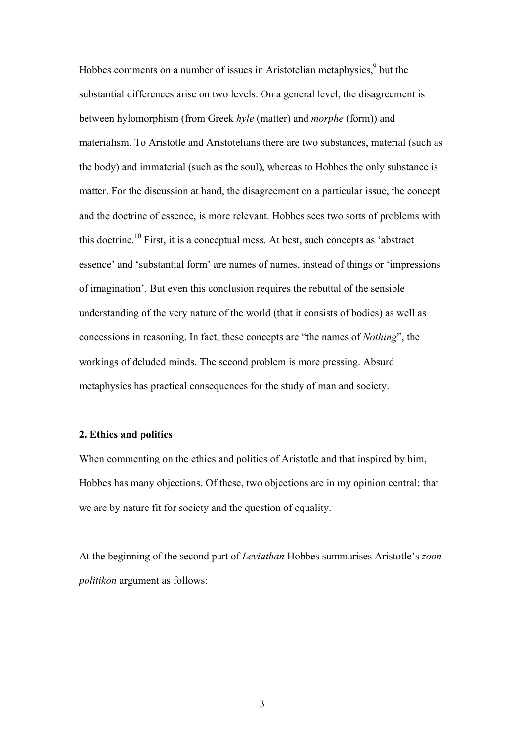Hobbes comments on a number of issues in Aristotelian metaphysics, $9$  but the substantial differences arise on two levels. On a general level, the disagreement is between hylomorphism (from Greek *hyle* (matter) and *morphe* (form)) and materialism. To Aristotle and Aristotelians there are two substances, material (such as the body) and immaterial (such as the soul), whereas to Hobbes the only substance is matter. For the discussion at hand, the disagreement on a particular issue, the concept and the doctrine of essence, is more relevant. Hobbes sees two sorts of problems with this doctrine.<sup>10</sup> First, it is a conceptual mess. At best, such concepts as 'abstract essence' and 'substantial form' are names of names, instead of things or 'impressions of imagination'. But even this conclusion requires the rebuttal of the sensible understanding of the very nature of the world (that it consists of bodies) as well as concessions in reasoning. In fact, these concepts are "the names of *Nothing*", the workings of deluded minds. The second problem is more pressing. Absurd metaphysics has practical consequences for the study of man and society.

## **2. Ethics and politics**

When commenting on the ethics and politics of Aristotle and that inspired by him, Hobbes has many objections. Of these, two objections are in my opinion central: that we are by nature fit for society and the question of equality.

At the beginning of the second part of *Leviathan* Hobbes summarises Aristotle's *zoon politikon* argument as follows: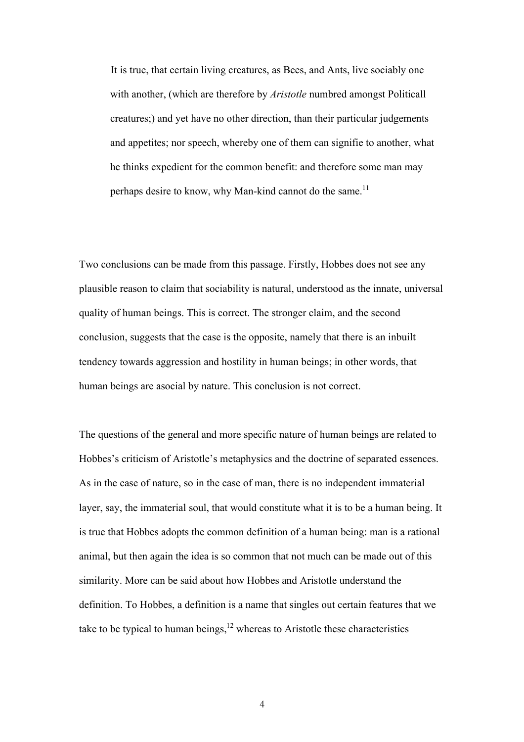It is true, that certain living creatures, as Bees, and Ants, live sociably one with another, (which are therefore by *Aristotle* numbred amongst Politicall creatures;) and yet have no other direction, than their particular judgements and appetites; nor speech, whereby one of them can signifie to another, what he thinks expedient for the common benefit: and therefore some man may perhaps desire to know, why Man-kind cannot do the same.<sup>11</sup>

Two conclusions can be made from this passage. Firstly, Hobbes does not see any plausible reason to claim that sociability is natural, understood as the innate, universal quality of human beings. This is correct. The stronger claim, and the second conclusion, suggests that the case is the opposite, namely that there is an inbuilt tendency towards aggression and hostility in human beings; in other words, that human beings are asocial by nature. This conclusion is not correct.

The questions of the general and more specific nature of human beings are related to Hobbes's criticism of Aristotle's metaphysics and the doctrine of separated essences. As in the case of nature, so in the case of man, there is no independent immaterial layer, say, the immaterial soul, that would constitute what it is to be a human being. It is true that Hobbes adopts the common definition of a human being: man is a rational animal, but then again the idea is so common that not much can be made out of this similarity. More can be said about how Hobbes and Aristotle understand the definition. To Hobbes, a definition is a name that singles out certain features that we take to be typical to human beings,  $12$  whereas to Aristotle these characteristics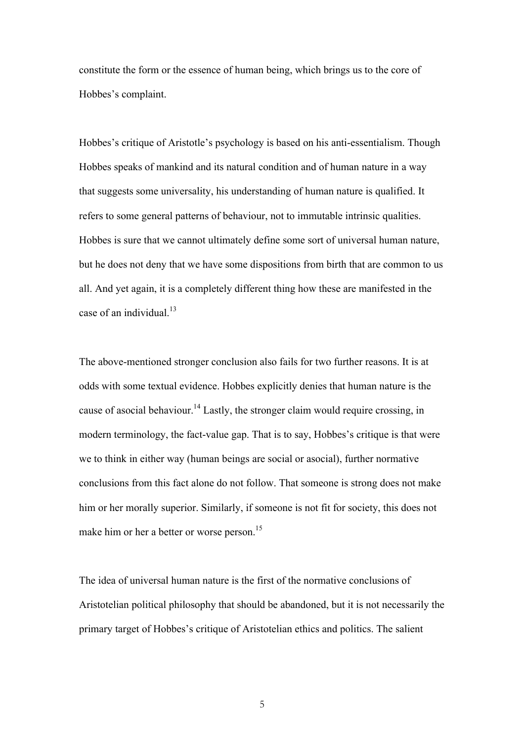constitute the form or the essence of human being, which brings us to the core of Hobbes's complaint.

Hobbes's critique of Aristotle's psychology is based on his anti-essentialism. Though Hobbes speaks of mankind and its natural condition and of human nature in a way that suggests some universality, his understanding of human nature is qualified. It refers to some general patterns of behaviour, not to immutable intrinsic qualities. Hobbes is sure that we cannot ultimately define some sort of universal human nature, but he does not deny that we have some dispositions from birth that are common to us all. And yet again, it is a completely different thing how these are manifested in the case of an individual. $13$ 

The above-mentioned stronger conclusion also fails for two further reasons. It is at odds with some textual evidence. Hobbes explicitly denies that human nature is the cause of asocial behaviour.<sup>14</sup> Lastly, the stronger claim would require crossing, in modern terminology, the fact-value gap. That is to say, Hobbes's critique is that were we to think in either way (human beings are social or asocial), further normative conclusions from this fact alone do not follow. That someone is strong does not make him or her morally superior. Similarly, if someone is not fit for society, this does not make him or her a better or worse person.<sup>15</sup>

The idea of universal human nature is the first of the normative conclusions of Aristotelian political philosophy that should be abandoned, but it is not necessarily the primary target of Hobbes's critique of Aristotelian ethics and politics. The salient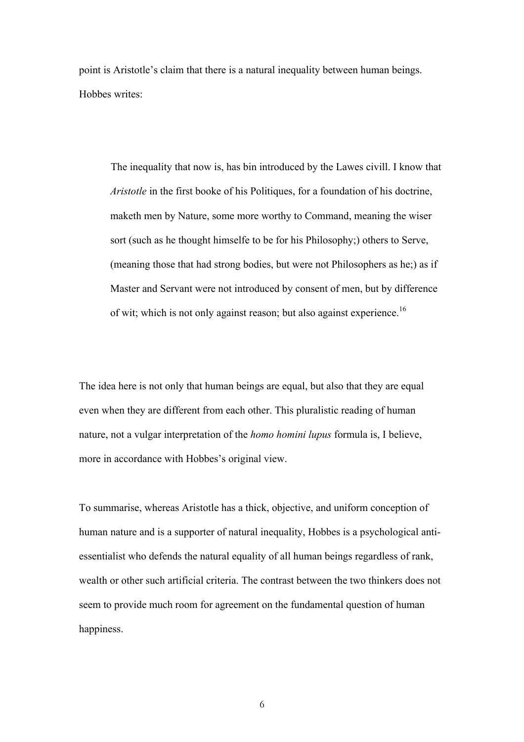point is Aristotle's claim that there is a natural inequality between human beings. Hobbes writes:

The inequality that now is, has bin introduced by the Lawes civill. I know that *Aristotle* in the first booke of his Politiques, for a foundation of his doctrine, maketh men by Nature, some more worthy to Command, meaning the wiser sort (such as he thought himselfe to be for his Philosophy;) others to Serve, (meaning those that had strong bodies, but were not Philosophers as he;) as if Master and Servant were not introduced by consent of men, but by difference of wit; which is not only against reason; but also against experience.<sup>16</sup>

The idea here is not only that human beings are equal, but also that they are equal even when they are different from each other. This pluralistic reading of human nature, not a vulgar interpretation of the *homo homini lupus* formula is, I believe, more in accordance with Hobbes's original view.

To summarise, whereas Aristotle has a thick, objective, and uniform conception of human nature and is a supporter of natural inequality, Hobbes is a psychological antiessentialist who defends the natural equality of all human beings regardless of rank, wealth or other such artificial criteria. The contrast between the two thinkers does not seem to provide much room for agreement on the fundamental question of human happiness.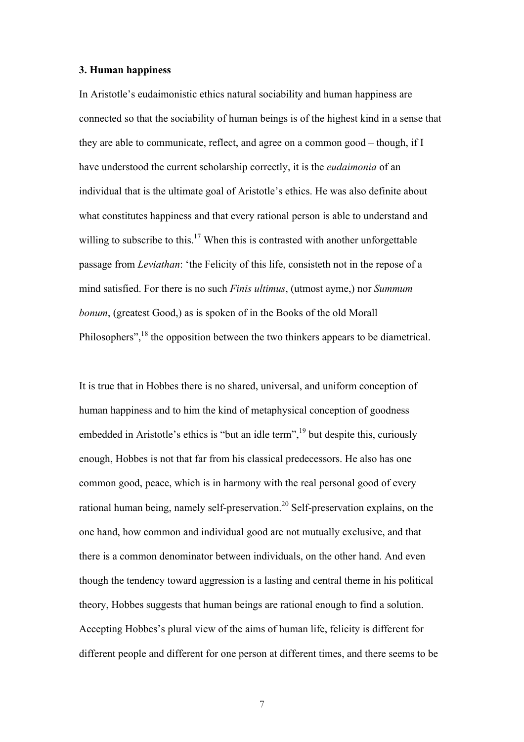## **3. Human happiness**

In Aristotle's eudaimonistic ethics natural sociability and human happiness are connected so that the sociability of human beings is of the highest kind in a sense that they are able to communicate, reflect, and agree on a common good – though, if I have understood the current scholarship correctly, it is the *eudaimonia* of an individual that is the ultimate goal of Aristotle's ethics. He was also definite about what constitutes happiness and that every rational person is able to understand and willing to subscribe to this.<sup>17</sup> When this is contrasted with another unforgettable passage from *Leviathan*: 'the Felicity of this life, consisteth not in the repose of a mind satisfied. For there is no such *Finis ultimus*, (utmost ayme,) nor *Summum bonum*, (greatest Good,) as is spoken of in the Books of the old Morall Philosophers",<sup>18</sup> the opposition between the two thinkers appears to be diametrical.

It is true that in Hobbes there is no shared, universal, and uniform conception of human happiness and to him the kind of metaphysical conception of goodness embedded in Aristotle's ethics is "but an idle term",  $19$  but despite this, curiously enough, Hobbes is not that far from his classical predecessors. He also has one common good, peace, which is in harmony with the real personal good of every rational human being, namely self-preservation.20 Self-preservation explains, on the one hand, how common and individual good are not mutually exclusive, and that there is a common denominator between individuals, on the other hand. And even though the tendency toward aggression is a lasting and central theme in his political theory, Hobbes suggests that human beings are rational enough to find a solution. Accepting Hobbes's plural view of the aims of human life, felicity is different for different people and different for one person at different times, and there seems to be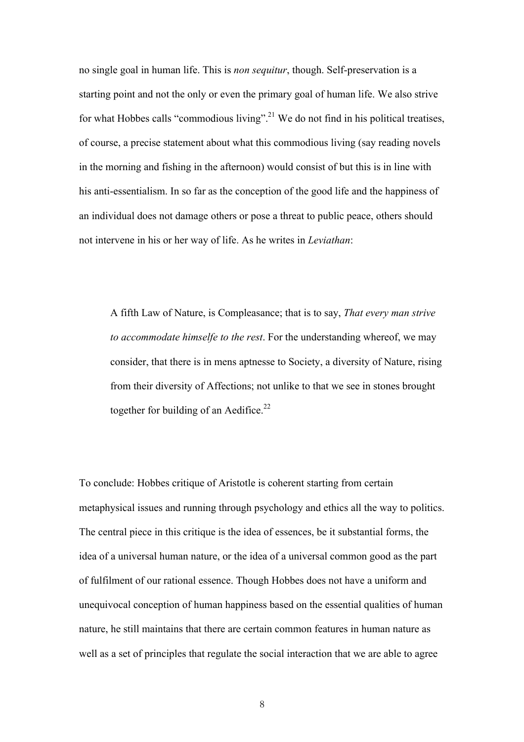no single goal in human life. This is *non sequitur*, though. Self-preservation is a starting point and not the only or even the primary goal of human life. We also strive for what Hobbes calls "commodious living".<sup>21</sup> We do not find in his political treatises, of course, a precise statement about what this commodious living (say reading novels in the morning and fishing in the afternoon) would consist of but this is in line with his anti-essentialism. In so far as the conception of the good life and the happiness of an individual does not damage others or pose a threat to public peace, others should not intervene in his or her way of life. As he writes in *Leviathan*:

A fifth Law of Nature, is Compleasance; that is to say, *That every man strive to accommodate himselfe to the rest*. For the understanding whereof, we may consider, that there is in mens aptnesse to Society, a diversity of Nature, rising from their diversity of Affections; not unlike to that we see in stones brought together for building of an Aedifice.<sup>22</sup>

To conclude: Hobbes critique of Aristotle is coherent starting from certain metaphysical issues and running through psychology and ethics all the way to politics. The central piece in this critique is the idea of essences, be it substantial forms, the idea of a universal human nature, or the idea of a universal common good as the part of fulfilment of our rational essence. Though Hobbes does not have a uniform and unequivocal conception of human happiness based on the essential qualities of human nature, he still maintains that there are certain common features in human nature as well as a set of principles that regulate the social interaction that we are able to agree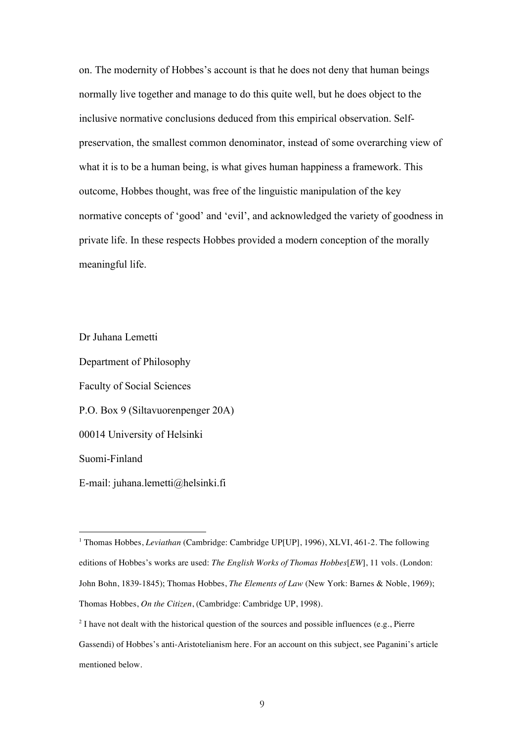on. The modernity of Hobbes's account is that he does not deny that human beings normally live together and manage to do this quite well, but he does object to the inclusive normative conclusions deduced from this empirical observation. Selfpreservation, the smallest common denominator, instead of some overarching view of what it is to be a human being, is what gives human happiness a framework. This outcome, Hobbes thought, was free of the linguistic manipulation of the key normative concepts of 'good' and 'evil', and acknowledged the variety of goodness in private life. In these respects Hobbes provided a modern conception of the morally meaningful life.

Dr Juhana Lemetti Department of Philosophy Faculty of Social Sciences P.O. Box 9 (Siltavuorenpenger 20A) 00014 University of Helsinki Suomi-Finland E-mail: juhana.lemetti@helsinki.fi

 $\overline{a}$ 

<sup>1</sup> Thomas Hobbes, *Leviathan* (Cambridge: Cambridge UP[UP], 1996), XLVI, 461-2. The following editions of Hobbes's works are used: *The English Works of Thomas Hobbes*[*EW*], 11 vols. (London: John Bohn, 1839-1845); Thomas Hobbes, *The Elements of Law* (New York: Barnes & Noble, 1969); Thomas Hobbes, *On the Citizen*, (Cambridge: Cambridge UP, 1998).

 $2^{2}$  I have not dealt with the historical question of the sources and possible influences (e.g., Pierre Gassendi) of Hobbes's anti-Aristotelianism here. For an account on this subject, see Paganini's article mentioned below.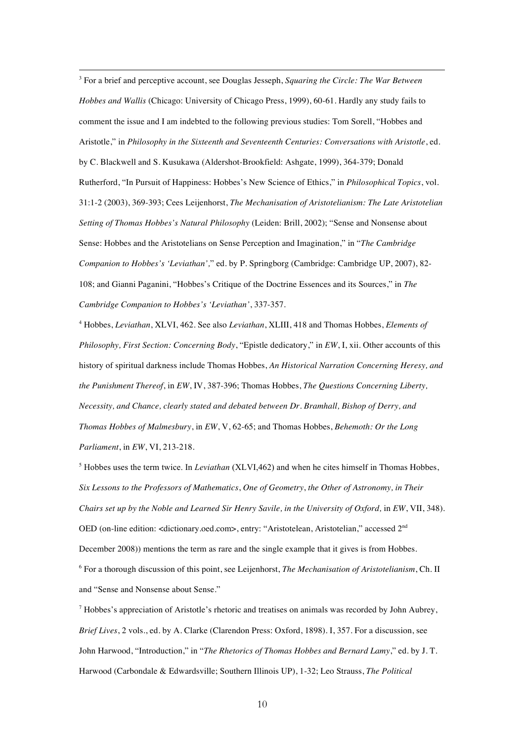3 For a brief and perceptive account, see Douglas Jesseph, *Squaring the Circle: The War Between Hobbes and Wallis* (Chicago: University of Chicago Press, 1999), 60-61. Hardly any study fails to comment the issue and I am indebted to the following previous studies: Tom Sorell, "Hobbes and Aristotle," in *Philosophy in the Sixteenth and Seventeenth Centuries: Conversations with Aristotle*, ed. by C. Blackwell and S. Kusukawa (Aldershot-Brookfield: Ashgate, 1999), 364-379; Donald Rutherford, "In Pursuit of Happiness: Hobbes's New Science of Ethics," in *Philosophical Topics*, vol. 31:1-2 (2003), 369-393; Cees Leijenhorst, *The Mechanisation of Aristotelianism: The Late Aristotelian Setting of Thomas Hobbes's Natural Philosophy* (Leiden: Brill, 2002); "Sense and Nonsense about Sense: Hobbes and the Aristotelians on Sense Perception and Imagination," in "*The Cambridge Companion to Hobbes's 'Leviathan',*" ed. by P. Springborg (Cambridge: Cambridge UP, 2007), 82- 108; and Gianni Paganini, "Hobbes's Critique of the Doctrine Essences and its Sources," in *The Cambridge Companion to Hobbes's 'Leviathan'*, 337-357.

 $\overline{a}$ 

4 Hobbes, *Leviathan*, XLVI, 462. See also *Leviathan*, XLIII, 418 and Thomas Hobbes, *Elements of Philosophy, First Section: Concerning Body*, "Epistle dedicatory," in *EW*, I, xii. Other accounts of this history of spiritual darkness include Thomas Hobbes, *An Historical Narration Concerning Heresy, and the Punishment Thereof*, in *EW*, IV, 387-396; Thomas Hobbes, *The Questions Concerning Liberty, Necessity, and Chance, clearly stated and debated between Dr. Bramhall, Bishop of Derry, and Thomas Hobbes of Malmesbury*, in *EW*, V, 62-65; and Thomas Hobbes, *Behemoth: Or the Long Parliament*, in *EW*, VI, 213-218.

<sup>5</sup> Hobbes uses the term twice. In *Leviathan* (XLVI,462) and when he cites himself in Thomas Hobbes, *Six Lessons to the Professors of Mathematics*, *One of Geometry*, *the Other of Astronomy, in Their Chairs set up by the Noble and Learned Sir Henry Savile, in the University of Oxford,* in *EW*, VII, 348). OED (on-line edition: <dictionary.oed.com>, entry: "Aristotelean, Aristotelian," accessed 2<sup>nd</sup> December 2008)) mentions the term as rare and the single example that it gives is from Hobbes. 6 For a thorough discussion of this point, see Leijenhorst, *The Mechanisation of Aristotelianism*, Ch. II and "Sense and Nonsense about Sense."

 $^7$  Hobbes's appreciation of Aristotle's rhetoric and treatises on animals was recorded by John Aubrey, *Brief Lives*, 2 vols., ed. by A. Clarke (Clarendon Press: Oxford, 1898). I, 357. For a discussion, see John Harwood, "Introduction," in "*The Rhetorics of Thomas Hobbes and Bernard Lamy*," ed. by J. T. Harwood (Carbondale & Edwardsville; Southern Illinois UP), 1-32; Leo Strauss, *The Political*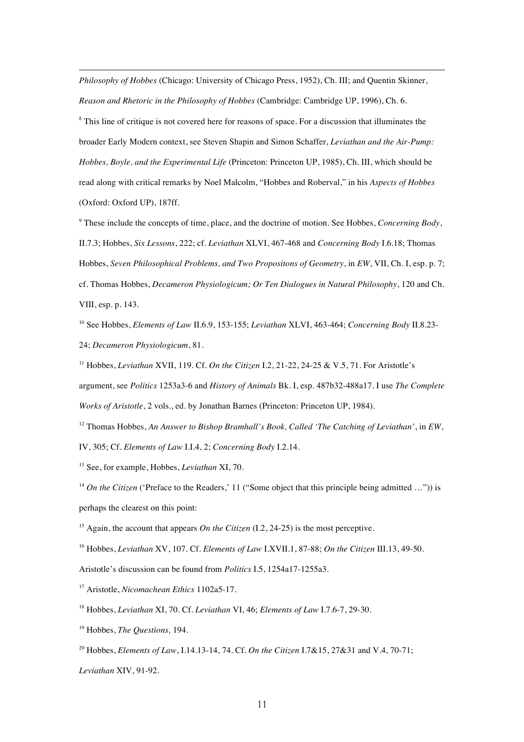*Philosophy of Hobbes* (Chicago: University of Chicago Press, 1952), Ch. III; and Quentin Skinner, *Reason and Rhetoric in the Philosophy of Hobbes* (Cambridge: Cambridge UP, 1996), Ch. 6.

<sup>8</sup> This line of critique is not covered here for reasons of space. For a discussion that illuminates the broader Early Modern context, see Steven Shapin and Simon Schaffer, *Leviathan and the Air-Pump: Hobbes, Boyle, and the Experimental Life* (Princeton: Princeton UP, 1985), Ch. III, which should be read along with critical remarks by Noel Malcolm, "Hobbes and Roberval," in his *Aspects of Hobbes* (Oxford: Oxford UP), 187ff.

9 These include the concepts of time, place, and the doctrine of motion. See Hobbes, *Concerning Body*, II.7.3; Hobbes, *Six Lessons*, 222; cf. *Leviathan* XLVI, 467-468 and *Concerning Body* I.6.18; Thomas Hobbes, *Seven Philosophical Problems, and Two Propositons of Geometry*, in *EW*, VII, Ch. I, esp. p. 7; cf. Thomas Hobbes, *Decameron Physiologicum; Or Ten Dialogues in Natural Philosophy*, 120 and Ch. VIII, esp. p. 143.

10 See Hobbes, *Elements of Law* II.6.9, 153-155; *Leviathan* XLVI, 463-464; *Concerning Body* II.8.23- 24; *Decameron Physiologicum*, 81.

11 Hobbes, *Leviathan* XVII, 119. Cf. *On the Citizen* I.2, 21-22, 24-25 & V.5, 71. For Aristotle's argument, see *Politics* 1253a3-6 and *History of Animals* Bk. I, esp. 487b32-488a17. I use *The Complete Works of Aristotle*, 2 vols., ed. by Jonathan Barnes (Princeton: Princeton UP, 1984).

12 Thomas Hobbes, *An Answer to Bishop Bramhall's Book, Called 'The Catching of Leviathan'*, in *EW*, IV, 305; Cf. *Elements of Law* I.I.4, 2; *Concerning Body* I.2.14.

13 See, for example, Hobbes, *Leviathan* XI, 70.

<sup>14</sup> *On the Citizen* ('Preface to the Readers,' 11 ("Some object that this principle being admitted ...")) is perhaps the clearest on this point:

<sup>15</sup> Again, the account that appears *On the Citizen* (I.2, 24-25) is the most perceptive.

16 Hobbes, *Leviathan* XV, 107. Cf. *Elements of Law* I.XVII.1, 87-88; *On the Citizen* III.13, 49-50.

Aristotle's discussion can be found from *Politics* I.5, 1254a17-1255a3.

17 Aristotle, *Nicomachean Ethics* 1102a5-17.

18 Hobbes, *Leviathan* XI, 70. Cf. *Leviathan* VI, 46; *Elements of Law* I.7.6-7, 29-30.

19 Hobbes, *The Questions,* 194.

20 Hobbes, *Elements of Law*, I.14.13-14, 74. Cf. *On the Citizen* I.7&15, 27&31 and V.4, 70-71;

*Leviathan* XIV, 91-92.

 $\overline{a}$